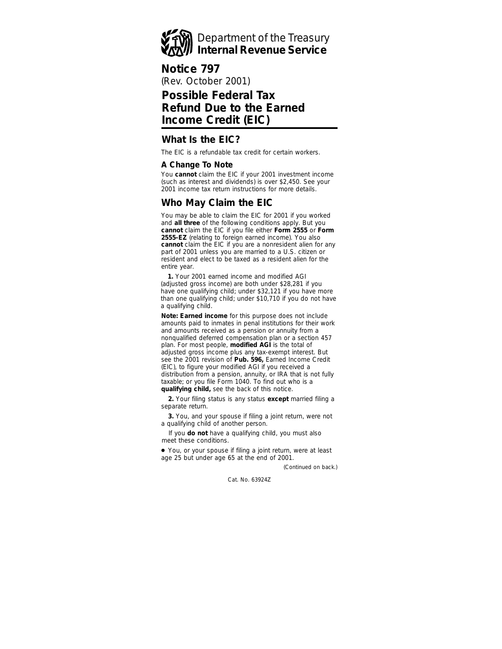

(Rev. October 2001) **Notice 797**

# **Possible Federal Tax Refund Due to the Earned Income Credit (EIC)**

### **What Is the EIC?**

The EIC is a refundable tax credit for certain workers.

### **A Change To Note**

You **cannot** claim the EIC if your 2001 investment income (such as interest and dividends) is over \$2,450. See your 2001 income tax return instructions for more details.

# **Who May Claim the EIC**

You may be able to claim the EIC for 2001 if you worked and **all three** of the following conditions apply. But you **cannot** claim the EIC if you file either **Form 2555** or **Form 2555-EZ** (relating to foreign earned income). You also **cannot** claim the EIC if you are a nonresident alien for any part of 2001 unless you are married to a U.S. citizen or resident and elect to be taxed as a resident alien for the entire year.

**1.** Your 2001 earned income and modified AGI (adjusted gross income) are both under \$28,281 if you have one qualifying child; under \$32,121 if you have more than one qualifying child; under \$10,710 if you do not have a qualifying child.

**Note:** *Earned income for this purpose does not include amounts paid to inmates in penal institutions for their work and amounts received as a pension or annuity from a nonqualified deferred compensation plan or a section 457 plan. For most people, modified AGI is the total of adjusted gross income plus any tax-exempt interest. But see the 2001 revision of Pub. 596, Earned Income Credit (EIC), to figure your modified AGI if you received a distribution from a pension, annuity, or IRA that is not fully taxable; or you file Form 1040. To find out who is a qualifying child, see the back of this notice.*

**2.** Your filing status is any status **except** married filing a separate return.

**3.** You, and your spouse if filing a joint return, were not a qualifying child of another person.

If you **do not** have a qualifying child, you must also meet these conditions.

● You, or your spouse if filing a joint return, were at least age 25 but under age 65 at the end of 2001.

*(Continued on back.)*

Cat. No. 63924Z